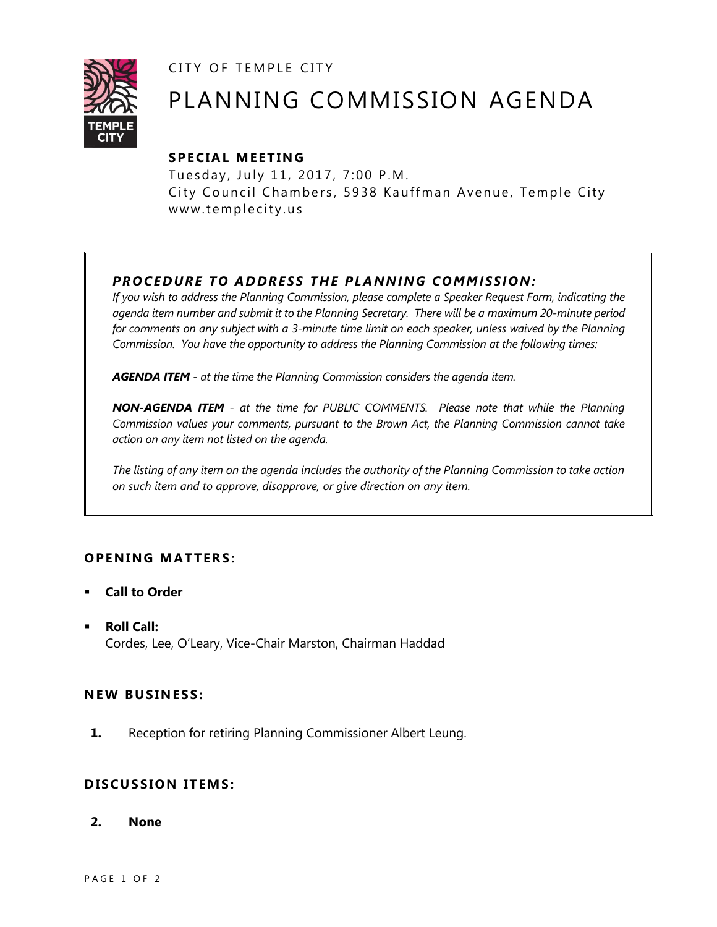CITY OF TEMPLE CITY



# PLANNING COMMISSION AGENDA

# **SPE CIA L MEET IN G**

Tuesday, July 11, 2017, 7:00 P.M. City Council Chambers, 5938 Kauffman Avenue, Temple City www.templecity.us

# **PROCEDURE TO ADDRESS THE PLANNING COMMISSION:**

*If you wish to address the Planning Commission, please complete a Speaker Request Form, indicating the agenda item number and submit it to the Planning Secretary. There will be a maximum 20-minute period*  for comments on any subject with a 3-minute time limit on each speaker, unless waived by the Planning *Commission. You have the opportunity to address the Planning Commission at the following times:*

*AGENDA ITEM - at the time the Planning Commission considers the agenda item.*

*NON-AGENDA ITEM - at the time for PUBLIC COMMENTS. Please note that while the Planning Commission values your comments, pursuant to the Brown Act, the Planning Commission cannot take action on any item not listed on the agenda.*

*The listing of any item on the agenda includes the authority of the Planning Commission to take action on such item and to approve, disapprove, or give direction on any item.*

### **OPENING MATTERS:**

- **Call to Order**
- **Roll Call:** Cordes, Lee, O'Leary, Vice-Chair Marston, Chairman Haddad

### **NE W BUSINESS:**

**1.** Reception for retiring Planning Commissioner Albert Leung.

#### **D ISCUSSION ITEMS:**

**2. None**